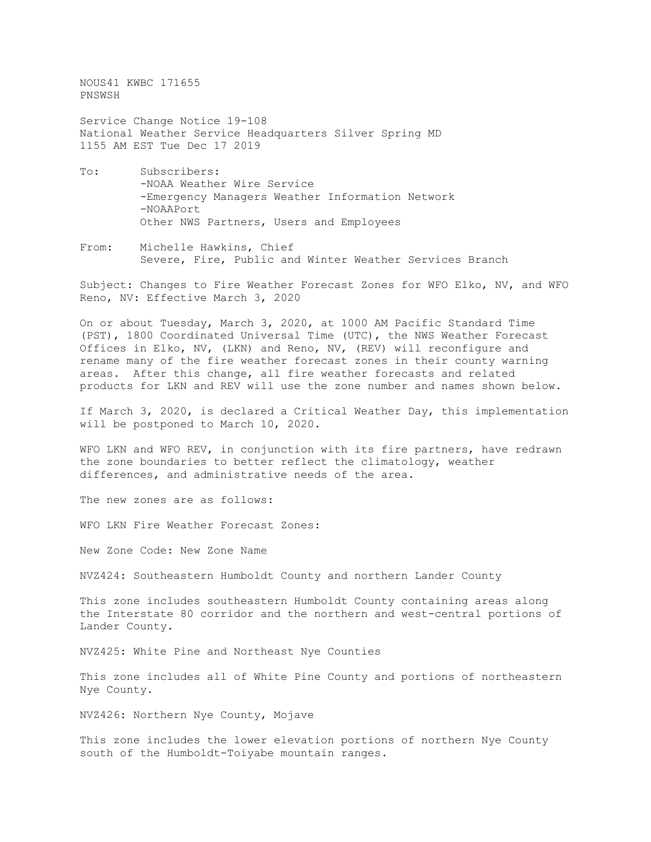NOUS41 KWBC 171655 PNSWSH

Service Change Notice 19-108 National Weather Service Headquarters Silver Spring MD 1155 AM EST Tue Dec 17 2019

- To: Subscribers: -NOAA Weather Wire Service -Emergency Managers Weather Information Network -NOAAPort Other NWS Partners, Users and Employees
- From: Michelle Hawkins, Chief Severe, Fire, Public and Winter Weather Services Branch

Subject: Changes to Fire Weather Forecast Zones for WFO Elko, NV, and WFO Reno, NV: Effective March 3, 2020

On or about Tuesday, March 3, 2020, at 1000 AM Pacific Standard Time (PST), 1800 Coordinated Universal Time (UTC), the NWS Weather Forecast Offices in Elko, NV, (LKN) and Reno, NV, (REV) will reconfigure and rename many of the fire weather forecast zones in their county warning areas. After this change, all fire weather forecasts and related products for LKN and REV will use the zone number and names shown below.

If March 3, 2020, is declared a Critical Weather Day, this implementation will be postponed to March 10, 2020.

WFO LKN and WFO REV, in conjunction with its fire partners, have redrawn the zone boundaries to better reflect the climatology, weather differences, and administrative needs of the area.

The new zones are as follows:

WFO LKN Fire Weather Forecast Zones:

New Zone Code: New Zone Name

NVZ424: Southeastern Humboldt County and northern Lander County

This zone includes southeastern Humboldt County containing areas along the Interstate 80 corridor and the northern and west-central portions of Lander County.

NVZ425: White Pine and Northeast Nye Counties

This zone includes all of White Pine County and portions of northeastern Nye County.

NVZ426: Northern Nye County, Mojave

This zone includes the lower elevation portions of northern Nye County south of the Humboldt-Toiyabe mountain ranges.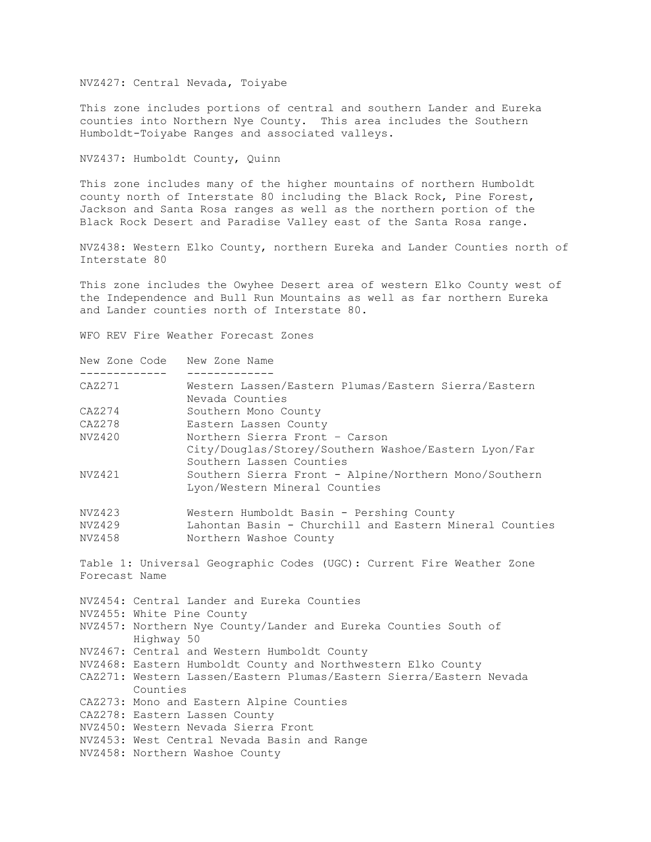NVZ427: Central Nevada, Toiyabe

This zone includes portions of central and southern Lander and Eureka counties into Northern Nye County. This area includes the Southern Humboldt-Toiyabe Ranges and associated valleys.

NVZ437: Humboldt County, Quinn

This zone includes many of the higher mountains of northern Humboldt county north of Interstate 80 including the Black Rock, Pine Forest, Jackson and Santa Rosa ranges as well as the northern portion of the Black Rock Desert and Paradise Valley east of the Santa Rosa range.

NVZ438: Western Elko County, northern Eureka and Lander Counties north of Interstate 80

This zone includes the Owyhee Desert area of western Elko County west of the Independence and Bull Run Mountains as well as far northern Eureka and Lander counties north of Interstate 80.

WFO REV Fire Weather Forecast Zones

| New Zone Code |            | New Zone Name                                                                                                      |
|---------------|------------|--------------------------------------------------------------------------------------------------------------------|
| CAZ271        |            | Western Lassen/Eastern Plumas/Eastern Sierra/Eastern<br>Nevada Counties                                            |
| CAZ274        |            | Southern Mono County                                                                                               |
| CAZ278        |            | Eastern Lassen County                                                                                              |
| NVZ420        |            | Northern Sierra Front - Carson<br>City/Douglas/Storey/Southern Washoe/Eastern Lyon/Far<br>Southern Lassen Counties |
| NVZ421        |            | Southern Sierra Front - Alpine/Northern Mono/Southern<br>Lyon/Western Mineral Counties                             |
| NVZ423        |            | Western Humboldt Basin - Pershing County                                                                           |
| NVZ429        |            | Lahontan Basin - Churchill and Eastern Mineral Counties                                                            |
| NVZ458        |            | Northern Washoe County                                                                                             |
| Forecast Name |            | Table 1: Universal Geographic Codes (UGC): Current Fire Weather Zone                                               |
|               |            | NVZ454: Central Lander and Eureka Counties                                                                         |
|               |            | NVZ455: White Pine County                                                                                          |
|               | Highway 50 | NVZ457: Northern Nye County/Lander and Eureka Counties South of                                                    |
|               |            | NVZ467: Central and Western Humboldt County                                                                        |
|               |            | NVZ468: Eastern Humboldt County and Northwestern Elko County                                                       |
|               | Counties   | CAZ271: Western Lassen/Eastern Plumas/Eastern Sierra/Eastern Nevada                                                |
|               |            | CAZ273: Mono and Eastern Alpine Counties                                                                           |
|               |            | CAZ278: Eastern Lassen County                                                                                      |
|               |            | NVZ450: Western Nevada Sierra Front                                                                                |
|               |            | NVZ453: West Central Nevada Basin and Range                                                                        |
|               |            | NVZ458: Northern Washoe County                                                                                     |
|               |            |                                                                                                                    |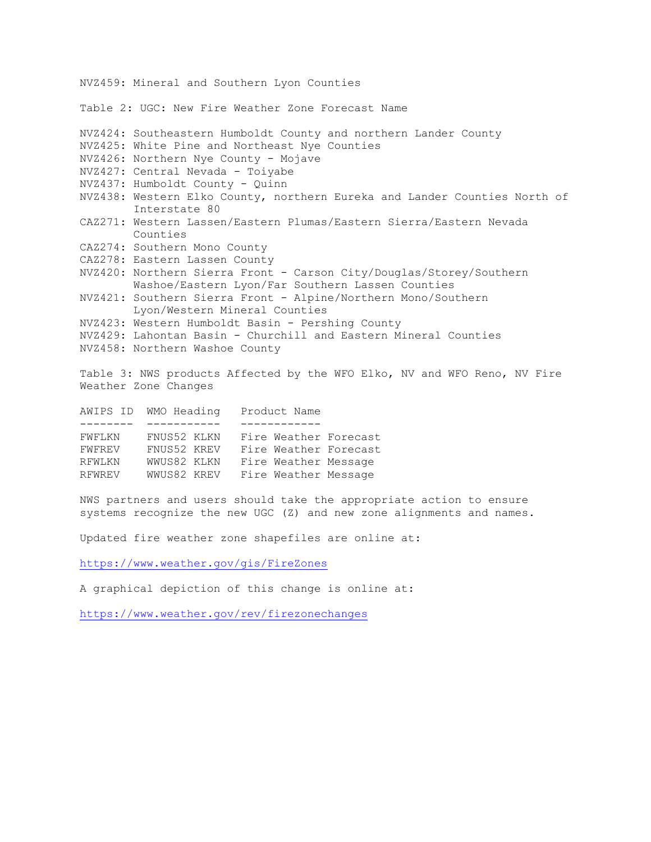NVZ459: Mineral and Southern Lyon Counties Table 2: UGC: New Fire Weather Zone Forecast Name NVZ424: Southeastern Humboldt County and northern Lander County NVZ425: White Pine and Northeast Nye Counties NVZ426: Northern Nye County - Mojave NVZ427: Central Nevada - Toiyabe NVZ437: Humboldt County - Quinn NVZ438: Western Elko County, northern Eureka and Lander Counties North of Interstate 80 CAZ271: Western Lassen/Eastern Plumas/Eastern Sierra/Eastern Nevada Counties CAZ274: Southern Mono County CAZ278: Eastern Lassen County NVZ420: Northern Sierra Front - Carson City/Douglas/Storey/Southern Washoe/Eastern Lyon/Far Southern Lassen Counties NVZ421: Southern Sierra Front - Alpine/Northern Mono/Southern Lyon/Western Mineral Counties NVZ423: Western Humboldt Basin - Pershing County NVZ429: Lahontan Basin - Churchill and Eastern Mineral Counties NVZ458: Northern Washoe County Table 3: NWS products Affected by the WFO Elko, NV and WFO Reno, NV Fire Weather Zone Changes AWIPS ID WMO Heading Product Name -------- ----------- -----------<br>FWFLKN FNUS52 KLKN Fire Weather FNUS52 KLKN Fire Weather Forecast FWFREV FNUS52 KREV Fire Weather Forecast RFWLKN WWUS82 KLKN Fire Weather Message RFWREV WWUS82 KREV Fire Weather Message NWS partners and users should take the appropriate action to ensure systems recognize the new UGC (Z) and new zone alignments and names.

Updated fire weather zone shapefiles are online at:

<https://www.weather.gov/gis/FireZones>

A graphical depiction of this change is online at:

<https://www.weather.gov/rev/firezonechanges>